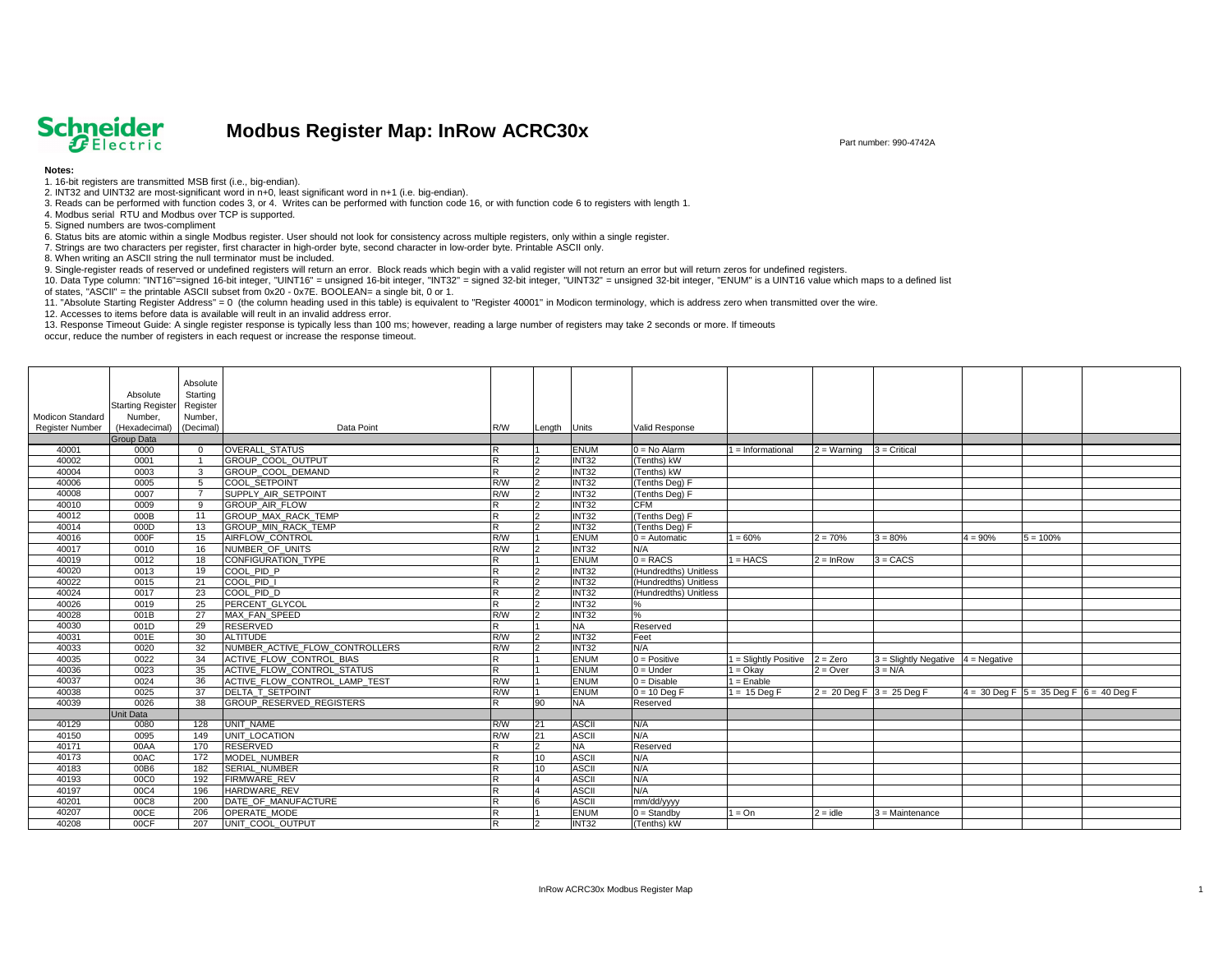

## **Modbus Register Map: InRow ACRC30x**

|                        |                                       | Absolute        |                                                     |                         |        |                          |                       |                         |                                      |                                        |                                                                         |  |
|------------------------|---------------------------------------|-----------------|-----------------------------------------------------|-------------------------|--------|--------------------------|-----------------------|-------------------------|--------------------------------------|----------------------------------------|-------------------------------------------------------------------------|--|
|                        | Absolute                              | Starting        |                                                     |                         |        |                          |                       |                         |                                      |                                        |                                                                         |  |
| Modicon Standard       | Starting Register Register<br>Number, | Number,         |                                                     |                         |        |                          |                       |                         |                                      |                                        |                                                                         |  |
| <b>Register Number</b> | (Hexadecimal)                         | (Decimal)       | Data Point                                          | R/W                     |        | <b>Units</b>             | Valid Response        |                         |                                      |                                        |                                                                         |  |
|                        | <b>Group Data</b>                     |                 |                                                     |                         | Length |                          |                       |                         |                                      |                                        |                                                                         |  |
| 40001                  | 0000                                  | $\Omega$        | OVERALL_STATUS                                      |                         |        | <b>ENUM</b>              | $0 = No$ Alarm        | $=$ Informational       | $2 =$ Warning                        | $3$ = Critical                         |                                                                         |  |
| 40002                  | 0001                                  |                 | GROUP_COOL_OUTPUT                                   | <b>R</b>                |        | <b>INT32</b>             | (Tenths) kW           |                         |                                      |                                        |                                                                         |  |
| 40004                  | 0003                                  | $\mathbf{3}$    | GROUP_COOL_DEMAND                                   | $\overline{R}$          |        | <b>INT32</b>             | (Tenths) kW           |                         |                                      |                                        |                                                                         |  |
| 40006                  | 0005                                  | $5\overline{5}$ | <b>COOL SETPOINT</b>                                | R/W                     |        | INT32                    | (Tenths Deg) F        |                         |                                      |                                        |                                                                         |  |
| 40008                  | 0007                                  | - 7             | SUPPLY_AIR_SETPOINT                                 | R/W                     |        | INT32                    | (Tenths Deg) F        |                         |                                      |                                        |                                                                         |  |
| 40010                  | 0009                                  | 9               | GROUP_AIR_FLOW                                      | $\overline{\mathsf{R}}$ |        | INT32                    | <b>CFM</b>            |                         |                                      |                                        |                                                                         |  |
| 40012                  | 000B                                  | 11              | GROUP_MAX_RACK_TEMP                                 | lR.                     |        | <b>INT32</b>             | (Tenths Deg) F        |                         |                                      |                                        |                                                                         |  |
| 40014                  | 000D                                  | 13              | GROUP_MIN_RACK_TEMP                                 | <b>R</b>                |        | <b>INT32</b>             | (Tenths Deg) F        |                         |                                      |                                        |                                                                         |  |
| 40016                  | 000F                                  | 15              | AIRFLOW_CONTROL                                     | R/W                     |        | <b>ENUM</b>              | $0 =$ Automatic       | $1 = 60%$               | $2 = 70%$                            | $3 = 80%$                              | $4 = 90%$<br>$5 = 100%$                                                 |  |
| 40017                  | 0010                                  | 16              | NUMBER_OF_UNITS                                     | R/W                     |        | INT32                    | N/A                   |                         |                                      |                                        |                                                                         |  |
| 40019                  | 0012                                  | 18              | CONFIGURATION_TYPE                                  | $\overline{\mathsf{R}}$ |        | <b>ENUM</b>              | $0 = RACS$            | $1 = HACS$              | $2 = lnRow$                          | $3 = CACS$                             |                                                                         |  |
| 40020                  | 0013                                  | 19              | COOL_PID_P                                          | <b>R</b>                |        | <b>INT32</b>             | (Hundredths) Unitless |                         |                                      |                                        |                                                                         |  |
| 40022                  | 0015                                  | 21              | COOL_PID_I                                          | $\overline{\mathsf{R}}$ |        | INT32                    | (Hundredths) Unitless |                         |                                      |                                        |                                                                         |  |
| 40024                  | 0017                                  | 23              | COOL_PID_D                                          | <b>R</b>                |        | INT32                    | (Hundredths) Unitless |                         |                                      |                                        |                                                                         |  |
| 40026                  | 0019                                  | 25              | PERCENT GLYCOL                                      | <b>R</b>                |        | <b>INT32</b>             | ℅                     |                         |                                      |                                        |                                                                         |  |
| 40028                  | 001B                                  | 27              | MAX FAN SPEED                                       | R/W                     |        | INT32                    | %                     |                         |                                      |                                        |                                                                         |  |
| 40030                  | 001D                                  | 29              | <b>RESERVED</b>                                     | <b>R</b>                |        | <b>NA</b>                | Reserved              |                         |                                      |                                        |                                                                         |  |
| 40031                  | 001E                                  | 30              | <b>ALTITUDE</b>                                     | R/W                     |        | INT32                    | Feet                  |                         |                                      |                                        |                                                                         |  |
| 40033                  | 0020                                  | 32              | NUMBER_ACTIVE_FLOW_CONTROLLERS                      | R/W                     |        | INT32                    | N/A                   |                         |                                      |                                        |                                                                         |  |
| 40035                  | 0022                                  | 34              | ACTIVE_FLOW_CONTROL_BIAS                            | $\overline{\mathsf{R}}$ |        | <b>ENUM</b>              | $0 = Positive$        | $1 =$ Slightly Positive | $2 = Zero$                           | $3$ = Slightly Negative $4$ = Negative |                                                                         |  |
| 40036                  | 0023                                  | 35              | ACTIVE_FLOW_CONTROL_STATUS                          | R.                      |        | <b>ENUM</b>              | $0 =$ Under           | $1 = O$ kay             | $2 = Over$                           | $3 = N/A$                              |                                                                         |  |
| 40037                  | 0024                                  | 36              | ACTIVE_FLOW_CONTROL_LAMP_TEST                       | R/W                     |        | <b>ENUM</b>              | $0 = Disable$         | $1 =$ Enable            |                                      |                                        |                                                                         |  |
| 40038<br>40039         | 0025<br>0026                          | 37<br>38        | <b>DELTA T SETPOINT</b><br>GROUP_RESERVED_REGISTERS | R/W<br>lR.              | 90     | <b>ENUM</b><br><b>NA</b> | $0 = 10$ Deg F        | $1 = 15$ Deg F          | $2 = 20 \text{ Deg } F$ 3 = 25 Deg F |                                        | $4 = 30 \text{ Deg } F$ $5 = 35 \text{ Deg } F$ $6 = 40 \text{ Deg } F$ |  |
|                        | Unit Data                             |                 |                                                     |                         |        |                          | Reserved              |                         |                                      |                                        |                                                                         |  |
| 40129                  | 0080                                  | 128             | <b>UNIT NAME</b>                                    | R/W                     | 21     | <b>ASCII</b>             | N/A                   |                         |                                      |                                        |                                                                         |  |
| 40150                  | 0095                                  | 149             | UNIT_LOCATION                                       | R/W                     | 21     | <b>ASCII</b>             | N/A                   |                         |                                      |                                        |                                                                         |  |
| 40171                  | 00AA                                  | 170             | RESERVED                                            | ΙR                      |        | <b>NA</b>                | Reserved              |                         |                                      |                                        |                                                                         |  |
| 40173                  | 00AC                                  | 172             | MODEL_NUMBER                                        | IKI                     | 10     | <b>ASCII</b>             | N/A                   |                         |                                      |                                        |                                                                         |  |
| 40183                  | 00B6                                  | 182             | SERIAL_NUMBER                                       | lR.                     | 10     | <b>ASCII</b>             | N/A                   |                         |                                      |                                        |                                                                         |  |
| 40193                  | 00C0                                  | 192             | <b>FIRMWARE REV</b>                                 | ΙR                      |        | <b>ASCII</b>             | N/A                   |                         |                                      |                                        |                                                                         |  |
| 40197                  | 00C4                                  | 196             | HARDWARE REV                                        | lR.                     |        | <b>ASCII</b>             | N/A                   |                         |                                      |                                        |                                                                         |  |
| 40201                  | 00C8                                  | 200             | DATE OF MANUFACTURE                                 | $\overline{\mathsf{R}}$ |        | <b>ASCII</b>             | mm/dd/yyyy            |                         |                                      |                                        |                                                                         |  |
| 40207                  | 00CE                                  | 206             | <b>OPERATE MODE</b>                                 | R.                      |        | <b>ENUM</b>              | $0 =$ Standby         | $1 = On$                | $2 = idle$                           | $3 =$ Maintenance                      |                                                                         |  |
| 40208                  | 00CF                                  | 207             | UNIT_COOL_OUTPUT                                    | R.                      |        | INT32                    | (Tenths) kW           |                         |                                      |                                        |                                                                         |  |

9. Single-register reads of reserved or undefined registers will return an error. Block reads which begin with a valid register will not return an error but will return zeros for undefined registers. 10. Data Type column: "INT16"=signed 16-bit integer, "UINT16" = unsigned 16-bit integer, "INT32" = signed 32-bit integer, "UINT32" = unsigned 32-bit integer, "ENUM" is a UINT16 value which maps to a defined list of states, "ASCII" = the printable ASCII subset from 0x20 - 0x7E. BOOLEAN= a single bit, 0 or 1.

## Part number: 990-4742A

## **Notes:**

1. 16-bit registers are transmitted MSB first (i.e., big-endian).

2. INT32 and UINT32 are most-significant word in n+0, least significant word in n+1 (i.e. big-endian).

3. Reads can be performed with function codes 3, or 4. Writes can be performed with function code 16, or with function code 6 to registers with length 1.

4. Modbus serial RTU and Modbus over TCP is supported.

5. Signed numbers are twos-compliment

6. Status bits are atomic within a single Modbus register. User should not look for consistency across multiple registers, only within a single register.

7. Strings are two characters per register, first character in high-order byte, second character in low-order byte. Printable ASCII only.

8. When writing an ASCII string the null terminator must be included.

11. "Absolute Starting Register Address" = 0 (the column heading used in this table) is equivalent to "Register 40001" in Modicon terminology, which is address zero when transmitted over the wire. 12. Accesses to items before data is available will reult in an invalid address error.

13. Response Timeout Guide: A single register response is typically less than 100 ms; however, reading a large number of registers may take 2 seconds or more. If timeouts occur, reduce the number of registers in each request or increase the response timeout.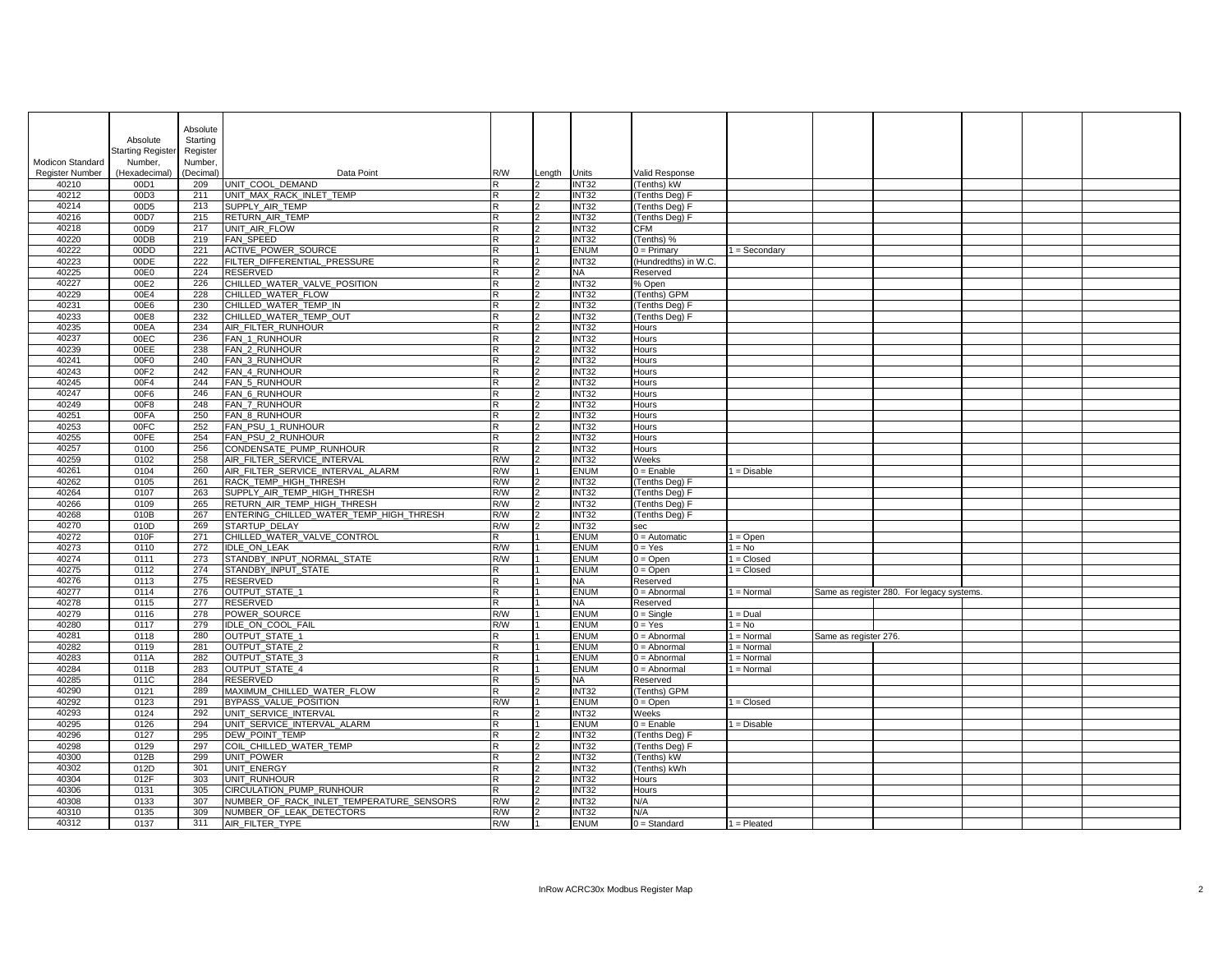|                         |                         | Absolute   |                                          |                         |                |                          |                              |                 |                       |                                           |  |
|-------------------------|-------------------------|------------|------------------------------------------|-------------------------|----------------|--------------------------|------------------------------|-----------------|-----------------------|-------------------------------------------|--|
|                         | Absolute                | Starting   |                                          |                         |                |                          |                              |                 |                       |                                           |  |
|                         | Starting Register       | Register   |                                          |                         |                |                          |                              |                 |                       |                                           |  |
| <b>Modicon Standard</b> | Number,                 | Number,    |                                          |                         |                |                          |                              |                 |                       |                                           |  |
| <b>Register Number</b>  | (Hexadecimal) (Decimal) |            | Data Point                               | R/W                     | Length         | Units                    | Valid Response               |                 |                       |                                           |  |
| 40210                   | 00D1                    | 209        | UNIT COOL DEMAND                         |                         |                | INT32                    | (Tenths) kW                  |                 |                       |                                           |  |
| 40212                   | 00D3                    | 211        | UNIT_MAX_RACK_INLET_TEMP                 | R                       | $\mathcal{D}$  | INT32                    | (Tenths Deg) F               |                 |                       |                                           |  |
| 40214                   | 00D <sub>5</sub>        | 213        | SUPPLY_AIR_TEMP                          |                         |                | INT32                    | (Tenths Deg) F               |                 |                       |                                           |  |
| 40216                   | 00D7                    | 215        | <b>RETURN AIR TEMP</b>                   | R                       | 12             | INT32                    | (Tenths Deg) F               |                 |                       |                                           |  |
| 40218                   | 00D9<br>00DB            | 217        | UNIT AIR FLOW<br><b>FAN SPEED</b>        |                         | $\overline{2}$ | INT32<br>INT32           | <b>CFM</b>                   |                 |                       |                                           |  |
| 40220<br>40222          | 00DD                    | 219<br>221 | ACTIVE_POWER_SOURCE                      | $\overline{\mathsf{R}}$ |                | <b>ENUM</b>              | (Tenths) %<br>$0 = Primary$  | $1 =$ Secondary |                       |                                           |  |
| 40223                   | 00DE                    | 222        | FILTER_DIFFERENTIAL_PRESSURE             | $\overline{\mathsf{R}}$ |                | INT32                    | (Hundredths) in W.C.         |                 |                       |                                           |  |
| 40225                   | 00E0                    | 224        | RESERVED                                 |                         | 12             | <b>NA</b>                | Reserved                     |                 |                       |                                           |  |
| 40227                   | 00E2                    | 226        | CHILLED_WATER_VALVE_POSITION             |                         | $\mathcal{L}$  | INT32                    | % Open                       |                 |                       |                                           |  |
| 40229                   | 00E4                    | 228        | CHILLED_WATER_FLOW                       |                         | $\mathcal{L}$  | INT32                    | (Tenths) GPM                 |                 |                       |                                           |  |
| 40231                   | 00E6                    | 230        | CHILLED_WATER_TEMP_IN                    |                         |                | INT32                    | (Tenths Deg) F               |                 |                       |                                           |  |
| 40233                   | 00E8                    | 232        | CHILLED_WATER_TEMP_OUT                   |                         |                | INT32                    | (Tenths Deg) F               |                 |                       |                                           |  |
| 40235                   | 00EA                    | 234        | AIR_FILTER_RUNHOUR                       |                         |                | INT32                    | <b>Hours</b>                 |                 |                       |                                           |  |
| 40237                   | 00EC                    | 236        | FAN_1_RUNHOUR                            |                         |                | INT32                    | <b>Hours</b>                 |                 |                       |                                           |  |
| 40239                   | 00EE                    | 238        | FAN_2_RUNHOUR                            |                         |                | INT32                    | <b>Hours</b>                 |                 |                       |                                           |  |
| 40241                   | 00F0                    | 240        | FAN_3_RUNHOUR                            |                         |                | INT32                    | Hours                        |                 |                       |                                           |  |
| 40243                   | 00F2                    | 242        | FAN_4_RUNHOUR                            |                         |                | INT32                    | Hours                        |                 |                       |                                           |  |
| 40245                   | 00F4                    | 244        | FAN_5_RUNHOUR                            |                         |                | INT <sub>32</sub>        | <b>Hours</b>                 |                 |                       |                                           |  |
| 40247                   | 00F6                    | 246        | FAN_6_RUNHOUR                            |                         | $\mathcal{D}$  | INT32                    | <b>Hours</b>                 |                 |                       |                                           |  |
| 40249                   | 00F8                    | 248        | FAN_7_RUNHOUR                            |                         |                | INT32                    | <b>Hours</b>                 |                 |                       |                                           |  |
| 40251<br>40253          | 00FA<br>00FC            | 250<br>252 | FAN_8_RUNHOUR<br>FAN_PSU_1_RUNHOUR       | R<br>R                  |                | INT32<br>INT32           | <b>Hours</b><br><b>Hours</b> |                 |                       |                                           |  |
| 40255                   | 00FE                    | 254        | FAN_PSU_2_RUNHOUR                        |                         |                | INT32                    | <b>Hours</b>                 |                 |                       |                                           |  |
| 40257                   | 0100                    | 256        | CONDENSATE PUMP RUNHOUR                  | R                       |                | INT32                    | <b>Hours</b>                 |                 |                       |                                           |  |
| 40259                   | 0102                    | 258        | AIR_FILTER_SERVICE_INTERVAL              | R/W                     |                | INT32                    | Weeks                        |                 |                       |                                           |  |
| 40261                   | 0104                    | 260        | AIR_FILTER_SERVICE_INTERVAL_ALARM        | R/W                     |                | <b>ENUM</b>              | $\overline{0}$ = Enable      | I = Disable     |                       |                                           |  |
| 40262                   | 0105                    | 261        | RACK TEMP HIGH THRESH                    | R/W                     |                | INT32                    | (Tenths Deg) F               |                 |                       |                                           |  |
| 40264                   | 0107                    | 263        | SUPPLY_AIR_TEMP_HIGH_THRESH              | R/W                     | $\mathcal{L}$  | INT32                    | (Tenths Deg) F               |                 |                       |                                           |  |
| 40266                   | 0109                    | 265        | RETURN_AIR_TEMP_HIGH_THRESH              | R/W                     | l2             | INT32                    | (Tenths Deg) F               |                 |                       |                                           |  |
| 40268                   | 010B                    | 267        | ENTERING CHILLED WATER TEMP HIGH THRESH  | R/W                     |                | INT32                    | (Tenths Deg) F               |                 |                       |                                           |  |
| 40270                   | 010D                    | 269        | STARTUP_DELAY                            | R/W                     |                | INT32                    | sec                          |                 |                       |                                           |  |
| 40272                   | 010F                    | 271        | CHILLED_WATER_VALVE_CONTROL              |                         |                | <b>ENUM</b>              | $0 =$ Automatic              | $1 = Open$      |                       |                                           |  |
| 40273                   | 0110                    | 272        | IDLE_ON_LEAK                             | R/W                     |                | <b>ENUM</b>              | $0 = Yes$                    | $1 = No$        |                       |                                           |  |
| 40274                   | 0111                    | 273        | STANDBY INPUT NORMAL STATE               | R/W                     |                | <b>ENUM</b>              | $0 = Open$                   | $1 = Closed$    |                       |                                           |  |
| 40275                   | 0112                    | 274        | STANDBY_INPUT_STATE                      | $\overline{R}$          |                | <b>ENUM</b>              | $0 = Open$                   | $1 = Closed$    |                       |                                           |  |
| 40276<br>40277          | 0113<br>0114            | 275<br>276 | <b>RESERVED</b><br>OUTPUT_STATE_1        | R                       |                | <b>NA</b><br><b>ENUM</b> | Reserved<br>$0 =$ Abnormal   | $1 = Normal$    |                       | Same as register 280. For legacy systems. |  |
| 40278                   | 0115                    | 277        | <b>RESERVED</b>                          | R                       |                | <b>NA</b>                | Reserved                     |                 |                       |                                           |  |
| 40279                   | 0116                    | 278        | POWER_SOURCE                             | R/W                     |                | <b>ENUM</b>              | $0 =$ Single                 | $1 = Dual$      |                       |                                           |  |
| 40280                   | 0117                    | 279        | IDLE_ON_COOL_FAIL                        | R/W                     |                | <b>ENUM</b>              | $0 = Yes$                    | $1 = No$        |                       |                                           |  |
| 40281                   | 0118                    | 280        | OUTPUT_STATE_1                           |                         |                | <b>ENUM</b>              | $0 =$ Abnormal               | $1 = Normal$    | Same as register 276. |                                           |  |
| 40282                   | 0119                    | 281        | OUTPUT_STATE_2                           |                         |                | <b>ENUM</b>              | $0 =$ Abnormal               | $1 = Normal$    |                       |                                           |  |
| 40283                   | 011A                    | 282        | OUTPUT_STATE_3                           |                         |                | <b>ENUM</b>              | $0 =$ Abnormal               | $1 = Normal$    |                       |                                           |  |
| 40284                   | 011B                    | 283        | OUTPUT_STATE_4                           |                         |                | <b>ENUM</b>              | $0 =$ Abnormal               | $1 = Normal$    |                       |                                           |  |
| 40285                   | 011C                    | 284        | <b>RESERVED</b>                          | $\overline{R}$          |                | <b>NA</b>                | Reserved                     |                 |                       |                                           |  |
| 40290                   | 0121                    | 289        | MAXIMUM CHILLED WATER FLOW               | R                       |                | INT32                    | (Tenths) GPM                 |                 |                       |                                           |  |
| 40292                   | 0123                    | 291        | BYPASS_VALUE_POSITION                    | R/W                     |                | <b>ENUM</b>              | $0 = Open$                   | $1 = Closed$    |                       |                                           |  |
| 40293                   | 0124                    | 292        | UNIT_SERVICE_INTERVAL                    | R                       |                | INT32                    | Weeks                        |                 |                       |                                           |  |
| 40295                   | 0126                    | 294        | UNIT_SERVICE_INTERVAL_ALARM              |                         |                | <b>ENUM</b>              | $0 =$ Enable                 | $1 = Disable$   |                       |                                           |  |
| 40296                   | 0127                    | 295        | <b>DEW POINT TEMP</b>                    |                         |                | INT32                    | (Tenths Deg) F               |                 |                       |                                           |  |
| 40298                   | 0129                    | 297        | COIL_CHILLED_WATER_TEMP                  |                         | $\mathcal{P}$  | INT32                    | (Tenths Deg) F               |                 |                       |                                           |  |
| 40300<br>40302          | 012B<br>012D            | 299<br>301 | UNIT_POWER<br>UNIT_ENERGY                |                         |                | INT32<br>INT32           | (Tenths) kW                  |                 |                       |                                           |  |
| 40304                   | 012F                    | 303        | UNIT RUNHOUR                             |                         |                | INT32                    | (Tenths) kWh<br><b>Hours</b> |                 |                       |                                           |  |
| 40306                   | 0131                    | 305        | <b>CIRCULATION PUMP RUNHOUR</b>          | $\mathsf{R}$            |                | INT32                    | <b>Hours</b>                 |                 |                       |                                           |  |
| 40308                   | 0133                    | 307        | NUMBER_OF_RACK_INLET_TEMPERATURE SENSORS | R/W                     | $\mathcal{P}$  | INT32                    | N/A                          |                 |                       |                                           |  |
| 40310                   | 0135                    | 309        | NUMBER_OF_LEAK_DETECTORS                 | R/W                     |                | INT32                    | N/A                          |                 |                       |                                           |  |
| 40312                   | 0137                    | 311        | AIR_FILTER_TYPE                          | R/W                     |                | <b>ENUM</b>              | $0 = Standard$               | $1 =$ Pleated   |                       |                                           |  |
|                         |                         |            |                                          |                         |                |                          |                              |                 |                       |                                           |  |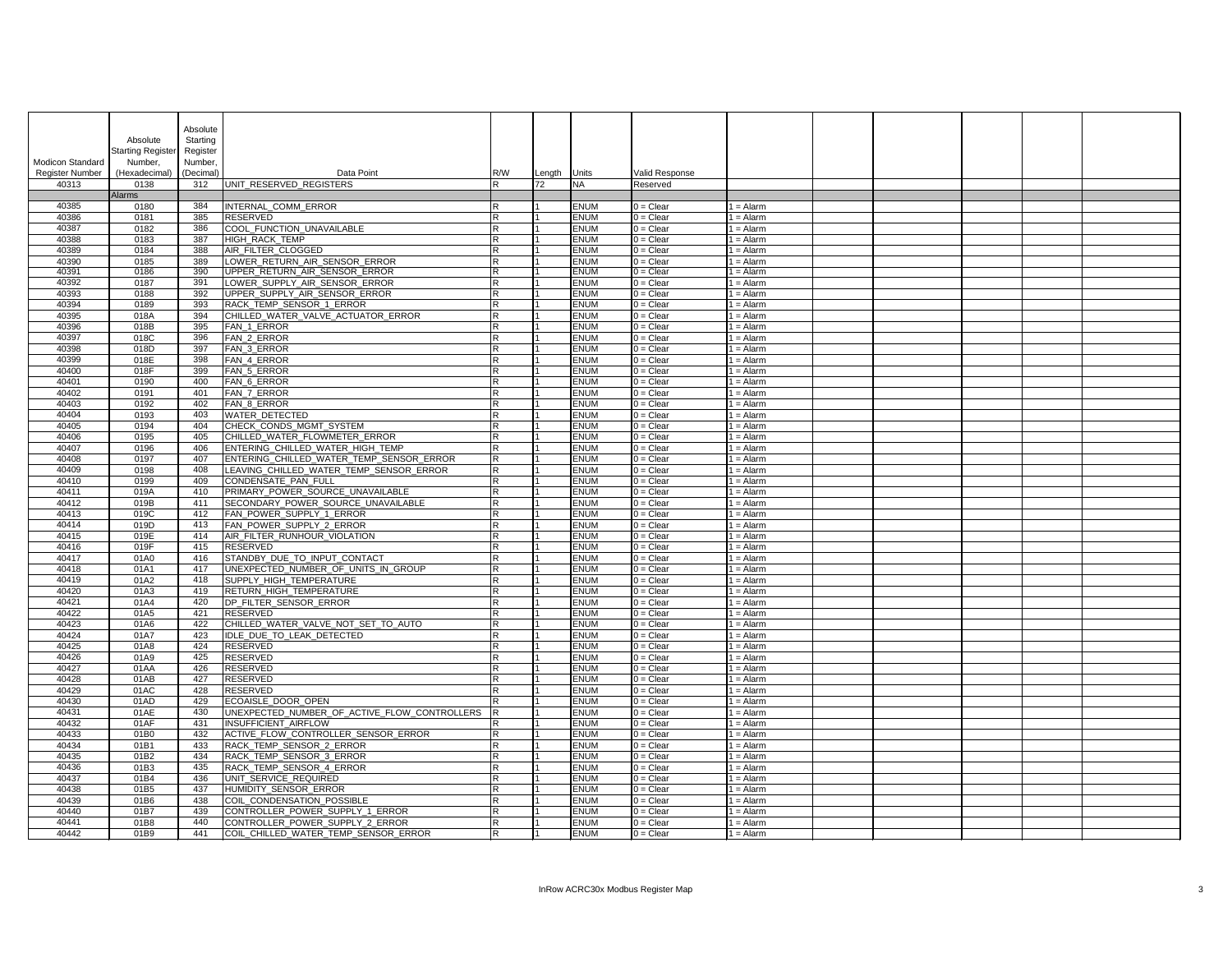|                                 | Absolute<br>Starting Register | Absolute<br>Starting<br>Register |                                                                              |                         |              |                            |                            |                            |  |  |  |
|---------------------------------|-------------------------------|----------------------------------|------------------------------------------------------------------------------|-------------------------|--------------|----------------------------|----------------------------|----------------------------|--|--|--|
| <b>Modicon Standard</b>         | Number,                       | Number,                          |                                                                              |                         |              |                            |                            |                            |  |  |  |
| <b>Register Number</b><br>40313 | (Hexadecimal)<br>0138         | (Decimal)<br>312                 | Data Point<br>UNIT_RESERVED_REGISTERS                                        | R/W<br>IR.              | Length<br>72 | Units<br><b>NA</b>         | Valid Response<br>Reserved |                            |  |  |  |
|                                 | <b>Alarms</b>                 |                                  |                                                                              |                         |              |                            |                            |                            |  |  |  |
| 40385                           | 0180                          | 384                              | INTERNAL COMM ERROR                                                          | R                       |              | <b>ENUM</b>                | $0 =$ Clear                | 1 = Alarm                  |  |  |  |
| 40386                           | 0181                          | 385                              | <b>RESERVED</b>                                                              | lR.                     |              | <b>ENUM</b>                | $0 =$ Clear                | 1 = Alarm                  |  |  |  |
| 40387<br>40388                  | 0182<br>0183                  | 386<br>387                       | COOL FUNCTION UNAVAILABLE<br>HIGH_RACK_TEMP                                  | R<br>lR.                |              | <b>ENUM</b><br><b>ENUM</b> | $0 =$ Clear<br>$0 = Clear$ | 1 = Alarm                  |  |  |  |
| 40389                           | 0184                          | 388                              | AIR_FILTER_CLOGGED                                                           | R                       |              | <b>ENUM</b>                | $0 =$ Clear                | 1 = Alarm<br>$1 =$ Alarm   |  |  |  |
| 40390                           | 0185                          | 389                              | LOWER_RETURN_AIR_SENSOR_ERROR                                                | R                       |              | <b>ENUM</b>                | $0 =$ Clear                | $1 =$ Alarm                |  |  |  |
| 40391                           | 0186                          | 390                              | UPPER_RETURN_AIR_SENSOR_ERROR                                                | R                       |              | <b>ENUM</b>                | $0 =$ Clear                | 1 = Alarm                  |  |  |  |
| 40392                           | 0187                          | 391                              | LOWER_SUPPLY_AIR_SENSOR_ERROR                                                | lR.                     |              | <b>ENUM</b>                | $0 =$ Clear                | $I =$ Alarm                |  |  |  |
| 40393<br>40394                  | 0188<br>0189                  | 392<br>393                       | UPPER_SUPPLY_AIR_SENSOR_ERROR<br>RACK_TEMP_SENSOR_1_ERROR                    | ΙR<br>lR.               |              | <b>ENUM</b><br><b>ENUM</b> | $0 =$ Clear<br>$0 =$ Clear | 1 = Alarm<br>1 = Alarm     |  |  |  |
| 40395                           | 018A                          | 394                              | CHILLED_WATER_VALVE_ACTUATOR_ERROR                                           | lR.                     |              | <b>ENUM</b>                | $0 =$ Clear                | $1 =$ Alarm                |  |  |  |
| 40396                           | 018B                          | 395                              | FAN_1_ERROR                                                                  | IR.                     |              | <b>ENUM</b>                | $0 =$ Clear                | $1 =$ Alarm                |  |  |  |
| 40397                           | 018C                          | 396                              | FAN_2_ERROR                                                                  | lR.                     |              | <b>ENUM</b>                | $0 = Clear$                | 1 = Alarm                  |  |  |  |
| 40398                           | 018D                          | 397                              | FAN_3_ERROR                                                                  | R                       |              | <b>ENUM</b>                | $0 =$ Clear                | 1 = Alarm                  |  |  |  |
| 40399                           | 018E                          | 398                              | FAN_4_ERROR                                                                  | lR.                     |              | <b>ENUM</b>                | $0 =$ Clear                | 1 = Alarm                  |  |  |  |
| 40400<br>40401                  | 018F<br>0190                  | 399<br>400                       | FAN_5_ERROR<br>FAN <sub>6</sub> _ERROR                                       | ΙR<br>IR.               |              | <b>ENUM</b><br><b>ENUM</b> | $0 =$ Clear<br>$0 =$ Clear | 1 = Alarm<br>$l =$ Alarm   |  |  |  |
| 40402                           | 0191                          | 401                              | FAN_7_ERROR                                                                  | lR                      |              | <b>ENUM</b>                | $0 =$ Clear                | $I =$ Alarm                |  |  |  |
| 40403                           | 0192                          | 402                              | FAN_8_ERROR                                                                  | lR.                     |              | <b>ENUM</b>                | $0 =$ Clear                | $I =$ Alarm                |  |  |  |
| 40404                           | 0193                          | 403                              | <b>WATER DETECTED</b>                                                        | lR.                     |              | <b>ENUM</b>                | $0 =$ Clear                | $I =$ Alarm                |  |  |  |
| 40405                           | 0194                          | 404                              | CHECK_CONDS_MGMT_SYSTEM                                                      | R                       |              | <b>ENUM</b>                | $0 =$ Clear                | $1 =$ Alarm                |  |  |  |
| 40406                           | 0195                          | 405                              | CHILLED_WATER_FLOWMETER_ERROR                                                | lR.                     |              | <b>ENUM</b>                | $0 =$ Clear                | 1 = Alarm                  |  |  |  |
| 40407<br>40408                  | 0196<br>0197                  | 406<br>407                       | ENTERING_CHILLED_WATER_HIGH_TEMP<br>ENTERING_CHILLED_WATER_TEMP_SENSOR_ERROR | lR.<br>R.               |              | <b>ENUM</b><br><b>ENUM</b> | $0 =$ Clear<br>$0 =$ Clear | 1 = Alarm<br>1 = Alarm     |  |  |  |
| 40409                           | 0198                          | 408                              | LEAVING_CHILLED_WATER_TEMP_SENSOR_ERROR                                      | IR.                     |              | <b>ENUM</b>                | $0 =$ Clear                | $1 =$ Alarm                |  |  |  |
| 40410                           | 0199                          | 409                              | CONDENSATE_PAN_FULL                                                          | IR.                     |              | <b>ENUM</b>                | $0 =$ Clear                | $1 =$ Alarm                |  |  |  |
| 40411                           | 019A                          | 410                              | PRIMARY_POWER_SOURCE_UNAVAILABLE                                             | lR.                     |              | <b>ENUM</b>                | $0 =$ Clear                | $I =$ Alarm                |  |  |  |
| 40412                           | 019B                          | 411                              | SECONDARY_POWER_SOURCE_UNAVAILABLE                                           | IK.                     |              | <b>ENUM</b>                | $0 =$ Clear                | 1 = Alarm                  |  |  |  |
| 40413                           | 019C                          | 412                              | FAN_POWER_SUPPLY_1_ERROR                                                     | lR.                     |              | <b>ENUM</b>                | $0 =$ Clear                | $1 =$ Alarm                |  |  |  |
| 40414<br>40415                  | 019D<br>019E                  | 413<br>414                       | FAN POWER SUPPLY 2 ERROR<br>AIR FILTER RUNHOUR VIOLATION                     | lR.<br>lR.              |              | <b>ENUM</b><br><b>ENUM</b> | $0 =$ Clear<br>$0 =$ Clear | $1 =$ Alarm<br>$1 =$ Alarm |  |  |  |
| 40416                           | 019F                          | 415                              | RESERVED                                                                     | lR.                     |              | <b>ENUM</b>                | $0 = Clear$                | 1 = Alarm                  |  |  |  |
| 40417                           | 01A0                          | 416                              | STANDBY DUE TO INPUT CONTACT                                                 | IR.                     |              | <b>ENUM</b>                | $0 =$ Clear                | $1 =$ Alarm                |  |  |  |
| 40418                           | 01A1                          | 417                              | UNEXPECTED NUMBER OF UNITS IN GROUP                                          | R                       |              | <b>ENUM</b>                | $0 =$ Clear                | 1 = Alarm                  |  |  |  |
| 40419                           | 01A2                          | 418                              | SUPPLY_HIGH_TEMPERATURE                                                      | IR.                     |              | <b>ENUM</b>                | $0 =$ Clear                | $1 =$ Alarm                |  |  |  |
| 40420                           | 01A3                          | 419                              | <b>RETURN HIGH TEMPERATURE</b>                                               | lR.                     |              | <b>ENUM</b>                | $0 =$ Clear                | $I =$ Alarm                |  |  |  |
| 40421<br>40422                  | 01A4<br>01A5                  | 420<br>421                       | DP_FILTER_SENSOR_ERROR<br>RESERVED                                           | lR.<br>lR.              |              | <b>ENUM</b><br><b>ENUM</b> | $0 =$ Clear<br>$0 =$ Clear | $1 =$ Alarm<br>$l =$ Alarm |  |  |  |
| 40423                           | 01A6                          | 422                              | CHILLED WATER VALVE NOT SET TO AUTO                                          | lR.                     |              | <b>ENUM</b>                | $0 =$ Clear                | $1 =$ Alarm                |  |  |  |
| 40424                           | 01A7                          | 423                              | IDLE DUE TO LEAK DETECTED                                                    | lR.                     |              | <b>ENUM</b>                | $0 =$ Clear                | $1 =$ Alarm                |  |  |  |
| 40425                           | 01A8                          | 424                              | <b>RESERVED</b>                                                              | lR.                     |              | <b>ENUM</b>                | $\overline{0}$ = Clear     | 1 = Alarm                  |  |  |  |
| 40426                           | 01A9                          | 425                              | <b>RESERVED</b>                                                              | lR.                     |              | <b>ENUM</b>                | $0 = Clear$                | $I =$ Alarm                |  |  |  |
| 40427<br>40428                  | 01AA<br>01AB                  | 426<br>427                       | <b>RESERVED</b><br><b>RESERVED</b>                                           | lR.<br>lR.              |              | <b>ENUM</b><br><b>ENUM</b> | $0 =$ Clear<br>$0 =$ Clear | $1 =$ Alarm<br>$1 =$ Alarm |  |  |  |
| 40429                           | 01AC                          | 428                              | <b>RESERVED</b>                                                              | ΙR                      |              | <b>ENUM</b>                | $0 =$ Clear                | $1 =$ Alarm                |  |  |  |
| 40430                           | 01AD                          | 429                              | ECOAISLE_DOOR_OPEN                                                           | lR.                     |              | <b>ENUM</b>                | $0 =$ Clear                | $l =$ Alarm                |  |  |  |
| 40431                           | 01AE                          | 430                              | UNEXPECTED NUMBER OF ACTIVE FLOW CONTROLLERS                                 | -lR                     |              | <b>ENUM</b>                | $0 =$ Clear                | $l =$ Alarm                |  |  |  |
| 40432                           | 01AF                          | 431                              | <b>INSUFFICIENT AIRFLOW</b>                                                  | lR.                     |              | <b>ENUM</b>                | $0 =$ Clear                | $l =$ Alarm                |  |  |  |
| 40433                           | 01B0                          | 432                              | ACTIVE_FLOW_CONTROLLER_SENSOR_ERROR                                          | IR.                     |              | <b>ENUM</b>                | $0 =$ Clear                | $1 =$ Alarm                |  |  |  |
| 40434<br>40435                  | 01B1<br>01B2                  | 433<br>434                       | <b>RACK TEMP SENSOR 2 ERROR</b><br>RACK_TEMP_SENSOR_3_ERROR                  | lR.<br>R                |              | <b>ENUM</b><br><b>ENUM</b> | $0 =$ Clear<br>$0 = Clear$ | $1 =$ Alarm<br>$1 =$ Alarm |  |  |  |
| 40436                           | 01B3                          | 435                              | RACK_TEMP_SENSOR_4_ERROR                                                     | $\overline{\mathbf{R}}$ |              | <b>ENUM</b>                | $0 =$ Clear                | $1 =$ Alarm                |  |  |  |
| 40437                           | 01B4                          | 436                              | UNIT_SERVICE_REQUIRED                                                        | lR.                     |              | <b>ENUM</b>                | $0 =$ Clear                | $1 =$ Alarm                |  |  |  |
| 40438                           | 01B5                          | 437                              | HUMIDITY_SENSOR_ERROR                                                        | lR.                     |              | <b>ENUM</b>                | $0 =$ Clear                | $1 =$ Alarm                |  |  |  |
| 40439                           | 01B6                          | 438                              | <b>COIL CONDENSATION POSSIBLE</b>                                            | lR.                     |              | <b>ENUM</b>                | $0 =$ Clear                | l = Alarm                  |  |  |  |
| 40440                           | 01B7                          | 439                              | CONTROLLER_POWER_SUPPLY_1_ERROR                                              | IR.                     |              | <b>ENUM</b>                | $0 =$ Clear                | 1 = Alarm                  |  |  |  |
| 40441<br>40442                  | 01B8<br>01B9                  | 440<br>441                       | CONTROLLER POWER SUPPLY 2 ERROR<br>COIL CHILLED WATER TEMP SENSOR ERROR      | lR.<br>IR.              |              | <b>ENUM</b><br><b>ENUM</b> | $0 =$ Clear<br>$0 =$ Clear | 1 = Alarm<br>1 = Alarm     |  |  |  |
|                                 |                               |                                  |                                                                              |                         |              |                            |                            |                            |  |  |  |